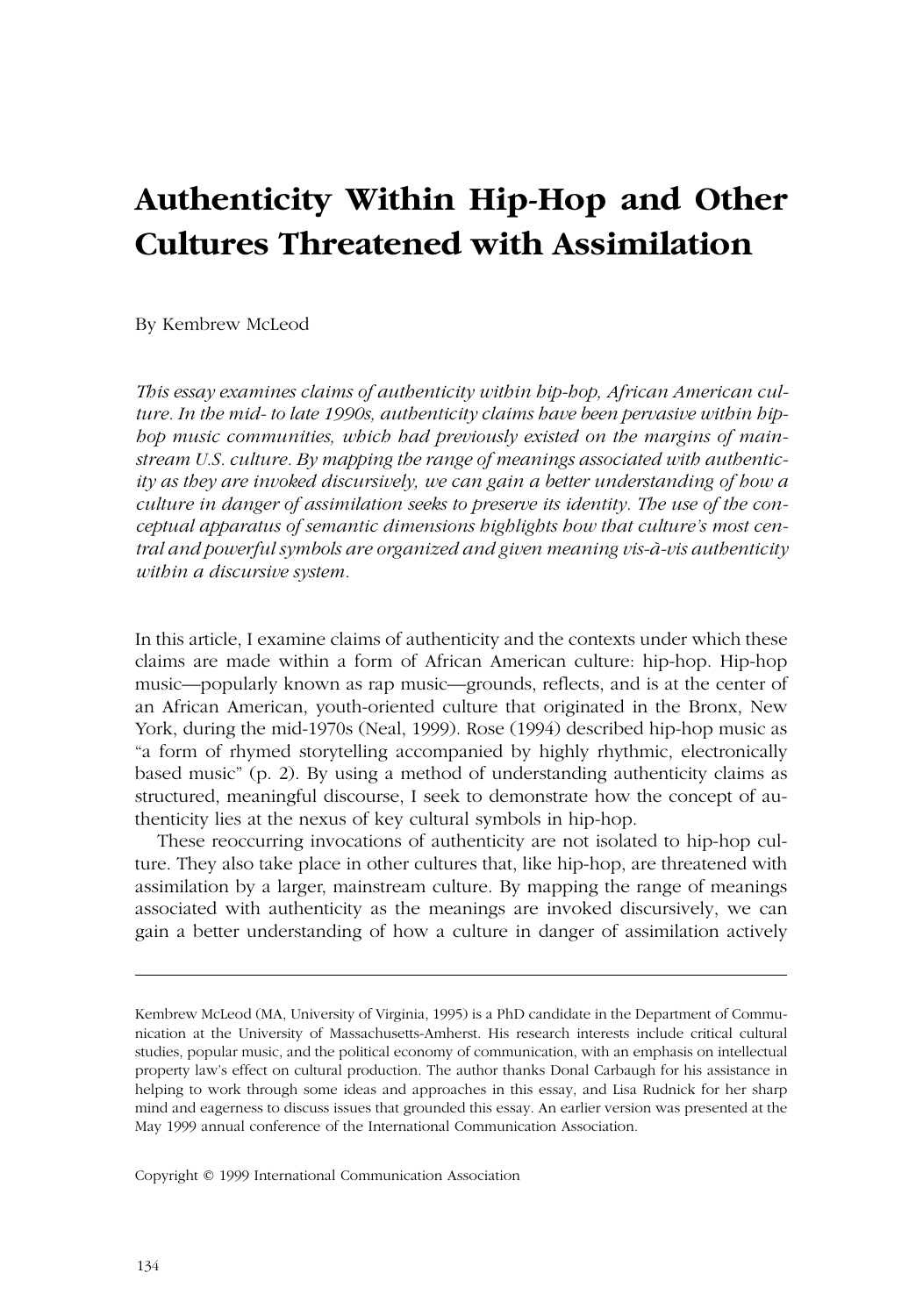# **Authenticity Within Hip-Hop and Other Cultures Threatened with Assimilation**

By Kembrew McLeod

*This essay examines claims of authenticity within hip-hop, African American culture. In the mid- to late 1990s, authenticity claims have been pervasive within hiphop music communities, which had previously existed on the margins of mainstream U.S. culture. By mapping the range of meanings associated with authenticity as they are invoked discursively, we can gain a better understanding of how a culture in danger of assimilation seeks to preserve its identity. The use of the conceptual apparatus of semantic dimensions highlights how that culture's most central and powerful symbols are organized and given meaning vis-à-vis authenticity within a discursive system.*

In this article, I examine claims of authenticity and the contexts under which these claims are made within a form of African American culture: hip-hop. Hip-hop music—popularly known as rap music—grounds, reflects, and is at the center of an African American, youth-oriented culture that originated in the Bronx, New York, during the mid-1970s (Neal, 1999). Rose (1994) described hip-hop music as "a form of rhymed storytelling accompanied by highly rhythmic, electronically based music" (p. 2). By using a method of understanding authenticity claims as structured, meaningful discourse, I seek to demonstrate how the concept of authenticity lies at the nexus of key cultural symbols in hip-hop.

These reoccurring invocations of authenticity are not isolated to hip-hop culture. They also take place in other cultures that, like hip-hop, are threatened with assimilation by a larger, mainstream culture. By mapping the range of meanings associated with authenticity as the meanings are invoked discursively, we can gain a better understanding of how a culture in danger of assimilation actively

Copyright © 1999 International Communication Association

Kembrew McLeod (MA, University of Virginia, 1995) is a PhD candidate in the Department of Communication at the University of Massachusetts-Amherst. His research interests include critical cultural studies, popular music, and the political economy of communication, with an emphasis on intellectual property law's effect on cultural production. The author thanks Donal Carbaugh for his assistance in helping to work through some ideas and approaches in this essay, and Lisa Rudnick for her sharp mind and eagerness to discuss issues that grounded this essay. An earlier version was presented at the May 1999 annual conference of the International Communication Association.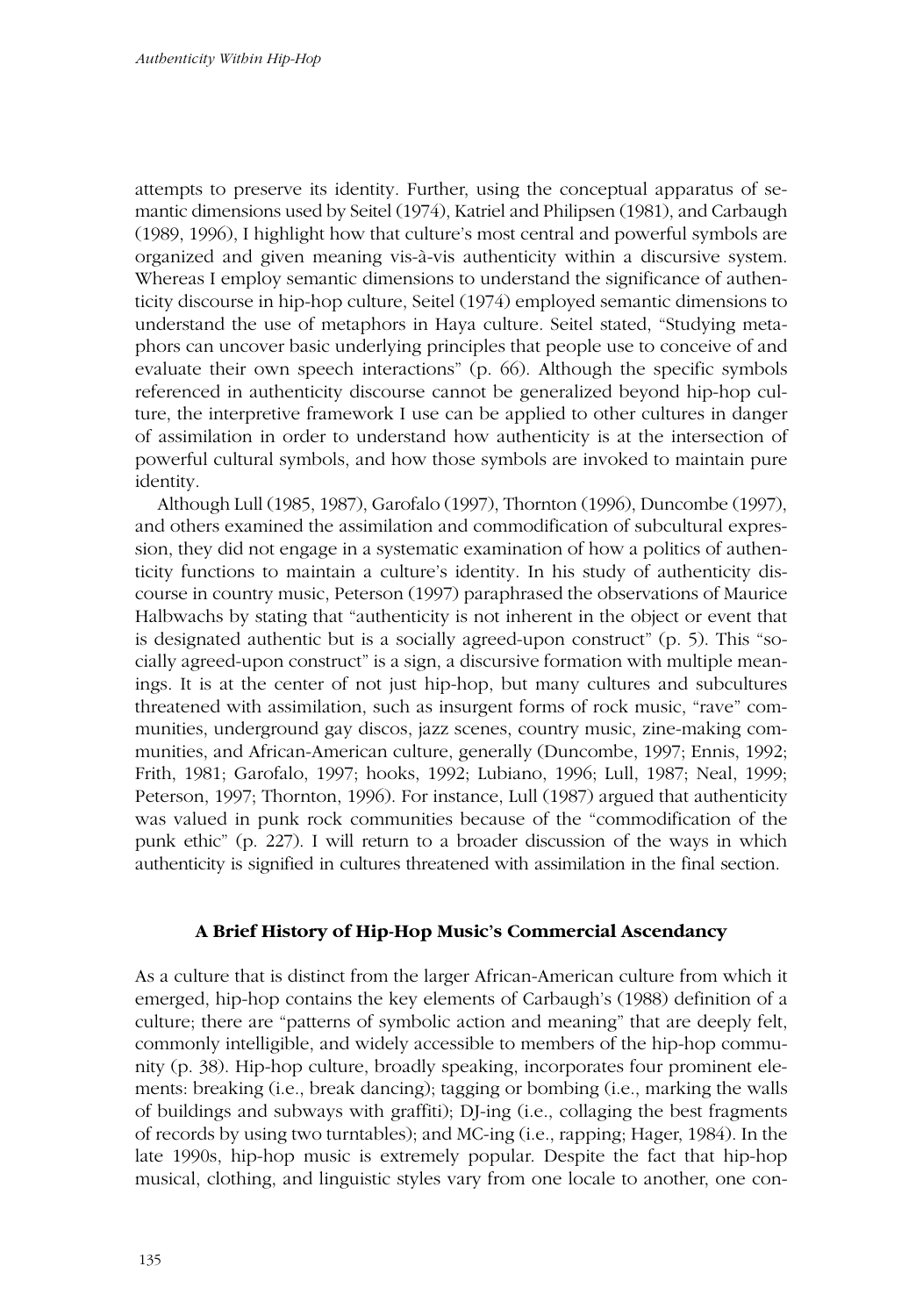attempts to preserve its identity. Further, using the conceptual apparatus of semantic dimensions used by Seitel (1974), Katriel and Philipsen (1981), and Carbaugh (1989, 1996), I highlight how that culture's most central and powerful symbols are organized and given meaning vis-à-vis authenticity within a discursive system. Whereas I employ semantic dimensions to understand the significance of authenticity discourse in hip-hop culture, Seitel (1974) employed semantic dimensions to understand the use of metaphors in Haya culture. Seitel stated, "Studying metaphors can uncover basic underlying principles that people use to conceive of and evaluate their own speech interactions" (p. 66). Although the specific symbols referenced in authenticity discourse cannot be generalized beyond hip-hop culture, the interpretive framework I use can be applied to other cultures in danger of assimilation in order to understand how authenticity is at the intersection of powerful cultural symbols, and how those symbols are invoked to maintain pure identity.

Although Lull (1985, 1987), Garofalo (1997), Thornton (1996), Duncombe (1997), and others examined the assimilation and commodification of subcultural expression, they did not engage in a systematic examination of how a politics of authenticity functions to maintain a culture's identity. In his study of authenticity discourse in country music, Peterson (1997) paraphrased the observations of Maurice Halbwachs by stating that "authenticity is not inherent in the object or event that is designated authentic but is a socially agreed-upon construct" (p. 5). This "socially agreed-upon construct" is a sign, a discursive formation with multiple meanings. It is at the center of not just hip-hop, but many cultures and subcultures threatened with assimilation, such as insurgent forms of rock music, "rave" communities, underground gay discos, jazz scenes, country music, zine-making communities, and African-American culture, generally (Duncombe, 1997; Ennis, 1992; Frith, 1981; Garofalo, 1997; hooks, 1992; Lubiano, 1996; Lull, 1987; Neal, 1999; Peterson, 1997; Thornton, 1996). For instance, Lull (1987) argued that authenticity was valued in punk rock communities because of the "commodification of the punk ethic" (p. 227). I will return to a broader discussion of the ways in which authenticity is signified in cultures threatened with assimilation in the final section.

# **A Brief History of Hip-Hop Music's Commercial Ascendancy**

As a culture that is distinct from the larger African-American culture from which it emerged, hip-hop contains the key elements of Carbaugh's (1988) definition of a culture; there are "patterns of symbolic action and meaning" that are deeply felt, commonly intelligible, and widely accessible to members of the hip-hop community (p. 38). Hip-hop culture, broadly speaking, incorporates four prominent elements: breaking (i.e., break dancing); tagging or bombing (i.e., marking the walls of buildings and subways with graffiti); DJ-ing (i.e., collaging the best fragments of records by using two turntables); and MC-ing (i.e., rapping; Hager, 1984). In the late 1990s, hip-hop music is extremely popular. Despite the fact that hip-hop musical, clothing, and linguistic styles vary from one locale to another, one con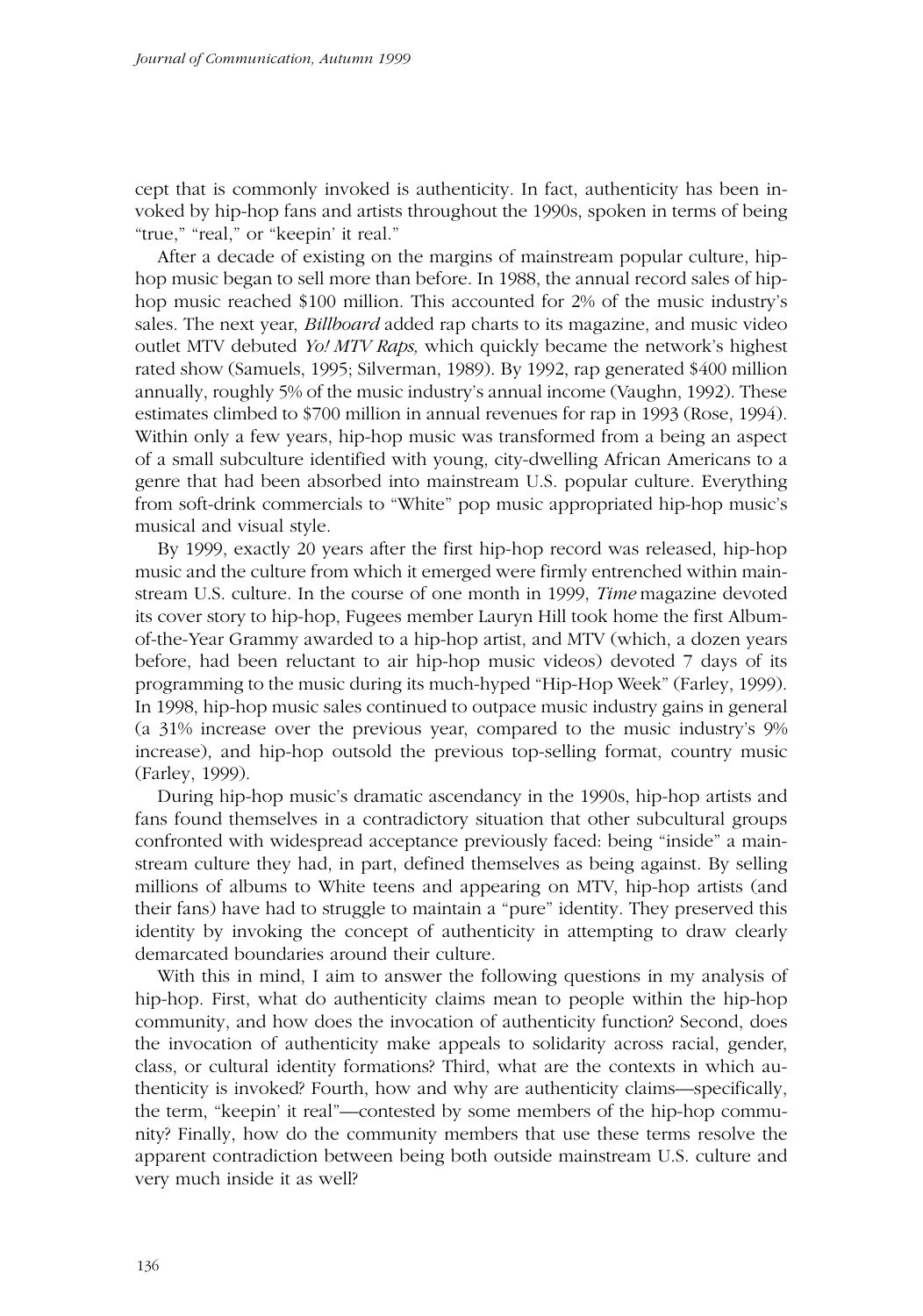cept that is commonly invoked is authenticity. In fact, authenticity has been invoked by hip-hop fans and artists throughout the 1990s, spoken in terms of being "true," "real," or "keepin' it real."

After a decade of existing on the margins of mainstream popular culture, hiphop music began to sell more than before. In 1988, the annual record sales of hiphop music reached \$100 million. This accounted for 2% of the music industry's sales. The next year, *Billboard* added rap charts to its magazine, and music video outlet MTV debuted *Yo! MTV Raps,* which quickly became the network's highest rated show (Samuels, 1995; Silverman, 1989). By 1992, rap generated \$400 million annually, roughly 5% of the music industry's annual income (Vaughn, 1992). These estimates climbed to \$700 million in annual revenues for rap in 1993 (Rose, 1994). Within only a few years, hip-hop music was transformed from a being an aspect of a small subculture identified with young, city-dwelling African Americans to a genre that had been absorbed into mainstream U.S. popular culture. Everything from soft-drink commercials to "White" pop music appropriated hip-hop music's musical and visual style.

By 1999, exactly 20 years after the first hip-hop record was released, hip-hop music and the culture from which it emerged were firmly entrenched within mainstream U.S. culture. In the course of one month in 1999, *Time* magazine devoted its cover story to hip-hop, Fugees member Lauryn Hill took home the first Albumof-the-Year Grammy awarded to a hip-hop artist, and MTV (which, a dozen years before, had been reluctant to air hip-hop music videos) devoted 7 days of its programming to the music during its much-hyped "Hip-Hop Week" (Farley, 1999). In 1998, hip-hop music sales continued to outpace music industry gains in general (a 31% increase over the previous year, compared to the music industry's 9% increase), and hip-hop outsold the previous top-selling format, country music (Farley, 1999).

During hip-hop music's dramatic ascendancy in the 1990s, hip-hop artists and fans found themselves in a contradictory situation that other subcultural groups confronted with widespread acceptance previously faced: being "inside" a mainstream culture they had, in part, defined themselves as being against. By selling millions of albums to White teens and appearing on MTV, hip-hop artists (and their fans) have had to struggle to maintain a "pure" identity. They preserved this identity by invoking the concept of authenticity in attempting to draw clearly demarcated boundaries around their culture.

With this in mind, I aim to answer the following questions in my analysis of hip-hop. First, what do authenticity claims mean to people within the hip-hop community, and how does the invocation of authenticity function? Second, does the invocation of authenticity make appeals to solidarity across racial, gender, class, or cultural identity formations? Third, what are the contexts in which authenticity is invoked? Fourth, how and why are authenticity claims—specifically, the term, "keepin' it real"—contested by some members of the hip-hop community? Finally, how do the community members that use these terms resolve the apparent contradiction between being both outside mainstream U.S. culture and very much inside it as well?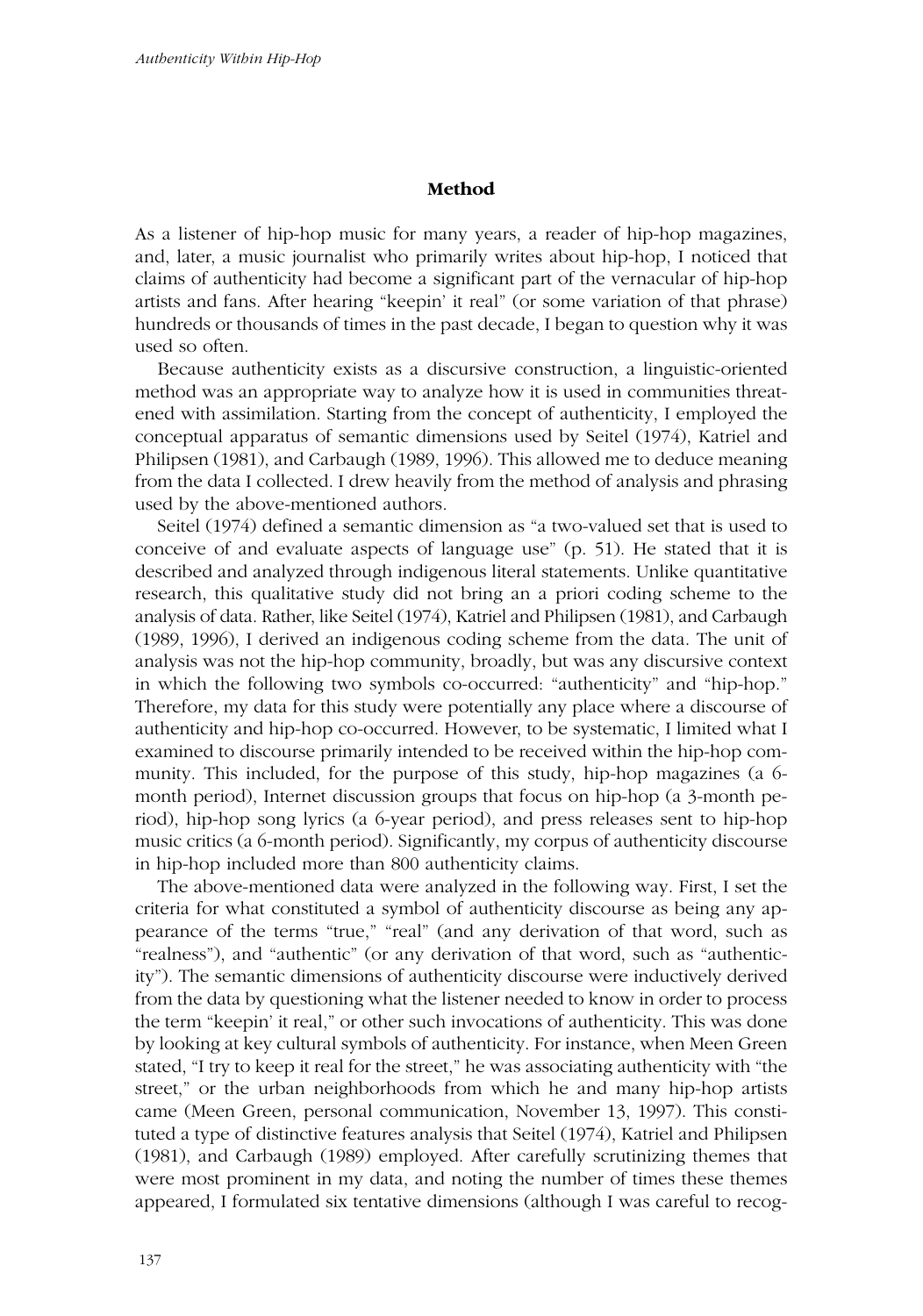# **Method**

As a listener of hip-hop music for many years, a reader of hip-hop magazines, and, later, a music journalist who primarily writes about hip-hop, I noticed that claims of authenticity had become a significant part of the vernacular of hip-hop artists and fans. After hearing "keepin' it real" (or some variation of that phrase) hundreds or thousands of times in the past decade, I began to question why it was used so often.

Because authenticity exists as a discursive construction, a linguistic-oriented method was an appropriate way to analyze how it is used in communities threatened with assimilation. Starting from the concept of authenticity, I employed the conceptual apparatus of semantic dimensions used by Seitel (1974), Katriel and Philipsen (1981), and Carbaugh (1989, 1996). This allowed me to deduce meaning from the data I collected. I drew heavily from the method of analysis and phrasing used by the above-mentioned authors.

Seitel (1974) defined a semantic dimension as "a two-valued set that is used to conceive of and evaluate aspects of language use" (p. 51). He stated that it is described and analyzed through indigenous literal statements. Unlike quantitative research, this qualitative study did not bring an a priori coding scheme to the analysis of data. Rather, like Seitel (1974), Katriel and Philipsen (1981), and Carbaugh (1989, 1996), I derived an indigenous coding scheme from the data. The unit of analysis was not the hip-hop community, broadly, but was any discursive context in which the following two symbols co-occurred: "authenticity" and "hip-hop." Therefore, my data for this study were potentially any place where a discourse of authenticity and hip-hop co-occurred. However, to be systematic, I limited what I examined to discourse primarily intended to be received within the hip-hop community. This included, for the purpose of this study, hip-hop magazines (a 6 month period), Internet discussion groups that focus on hip-hop (a 3-month period), hip-hop song lyrics (a 6-year period), and press releases sent to hip-hop music critics (a 6-month period). Significantly, my corpus of authenticity discourse in hip-hop included more than 800 authenticity claims.

The above-mentioned data were analyzed in the following way. First, I set the criteria for what constituted a symbol of authenticity discourse as being any appearance of the terms "true," "real" (and any derivation of that word, such as "realness"), and "authentic" (or any derivation of that word, such as "authenticity"). The semantic dimensions of authenticity discourse were inductively derived from the data by questioning what the listener needed to know in order to process the term "keepin' it real," or other such invocations of authenticity. This was done by looking at key cultural symbols of authenticity. For instance, when Meen Green stated, "I try to keep it real for the street," he was associating authenticity with "the street," or the urban neighborhoods from which he and many hip-hop artists came (Meen Green, personal communication, November 13, 1997). This constituted a type of distinctive features analysis that Seitel (1974), Katriel and Philipsen (1981), and Carbaugh (1989) employed. After carefully scrutinizing themes that were most prominent in my data, and noting the number of times these themes appeared, I formulated six tentative dimensions (although I was careful to recog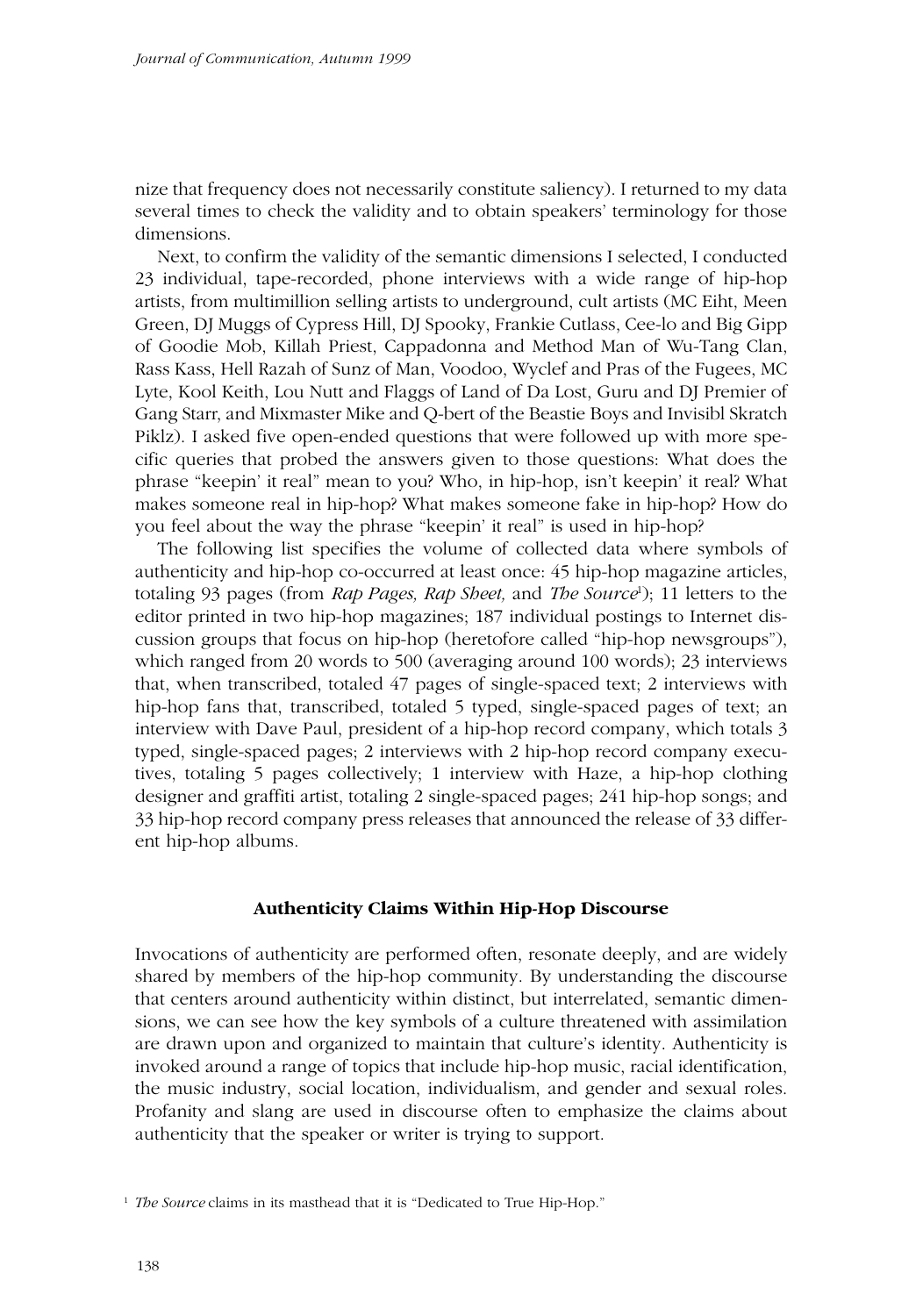nize that frequency does not necessarily constitute saliency). I returned to my data several times to check the validity and to obtain speakers' terminology for those dimensions.

Next, to confirm the validity of the semantic dimensions I selected, I conducted 23 individual, tape-recorded, phone interviews with a wide range of hip-hop artists, from multimillion selling artists to underground, cult artists (MC Eiht, Meen Green, DJ Muggs of Cypress Hill, DJ Spooky, Frankie Cutlass, Cee-lo and Big Gipp of Goodie Mob, Killah Priest, Cappadonna and Method Man of Wu-Tang Clan, Rass Kass, Hell Razah of Sunz of Man, Voodoo, Wyclef and Pras of the Fugees, MC Lyte, Kool Keith, Lou Nutt and Flaggs of Land of Da Lost, Guru and DJ Premier of Gang Starr, and Mixmaster Mike and Q-bert of the Beastie Boys and Invisibl Skratch Piklz). I asked five open-ended questions that were followed up with more specific queries that probed the answers given to those questions: What does the phrase "keepin' it real" mean to you? Who, in hip-hop, isn't keepin' it real? What makes someone real in hip-hop? What makes someone fake in hip-hop? How do you feel about the way the phrase "keepin' it real" is used in hip-hop?

The following list specifies the volume of collected data where symbols of authenticity and hip-hop co-occurred at least once: 45 hip-hop magazine articles, totaling 93 pages (from *Rap Pages, Rap Sheet,* and *The Source*<sup>1</sup> ); 11 letters to the editor printed in two hip-hop magazines; 187 individual postings to Internet discussion groups that focus on hip-hop (heretofore called "hip-hop newsgroups"), which ranged from 20 words to 500 (averaging around 100 words); 23 interviews that, when transcribed, totaled 47 pages of single-spaced text; 2 interviews with hip-hop fans that, transcribed, totaled 5 typed, single-spaced pages of text; an interview with Dave Paul, president of a hip-hop record company, which totals 3 typed, single-spaced pages; 2 interviews with 2 hip-hop record company executives, totaling 5 pages collectively; 1 interview with Haze, a hip-hop clothing designer and graffiti artist, totaling 2 single-spaced pages; 241 hip-hop songs; and 33 hip-hop record company press releases that announced the release of 33 different hip-hop albums.

# **Authenticity Claims Within Hip-Hop Discourse**

Invocations of authenticity are performed often, resonate deeply, and are widely shared by members of the hip-hop community. By understanding the discourse that centers around authenticity within distinct, but interrelated, semantic dimensions, we can see how the key symbols of a culture threatened with assimilation are drawn upon and organized to maintain that culture's identity. Authenticity is invoked around a range of topics that include hip-hop music, racial identification, the music industry, social location, individualism, and gender and sexual roles. Profanity and slang are used in discourse often to emphasize the claims about authenticity that the speaker or writer is trying to support.

<sup>&</sup>lt;sup>1</sup> *The Source* claims in its masthead that it is "Dedicated to True Hip-Hop."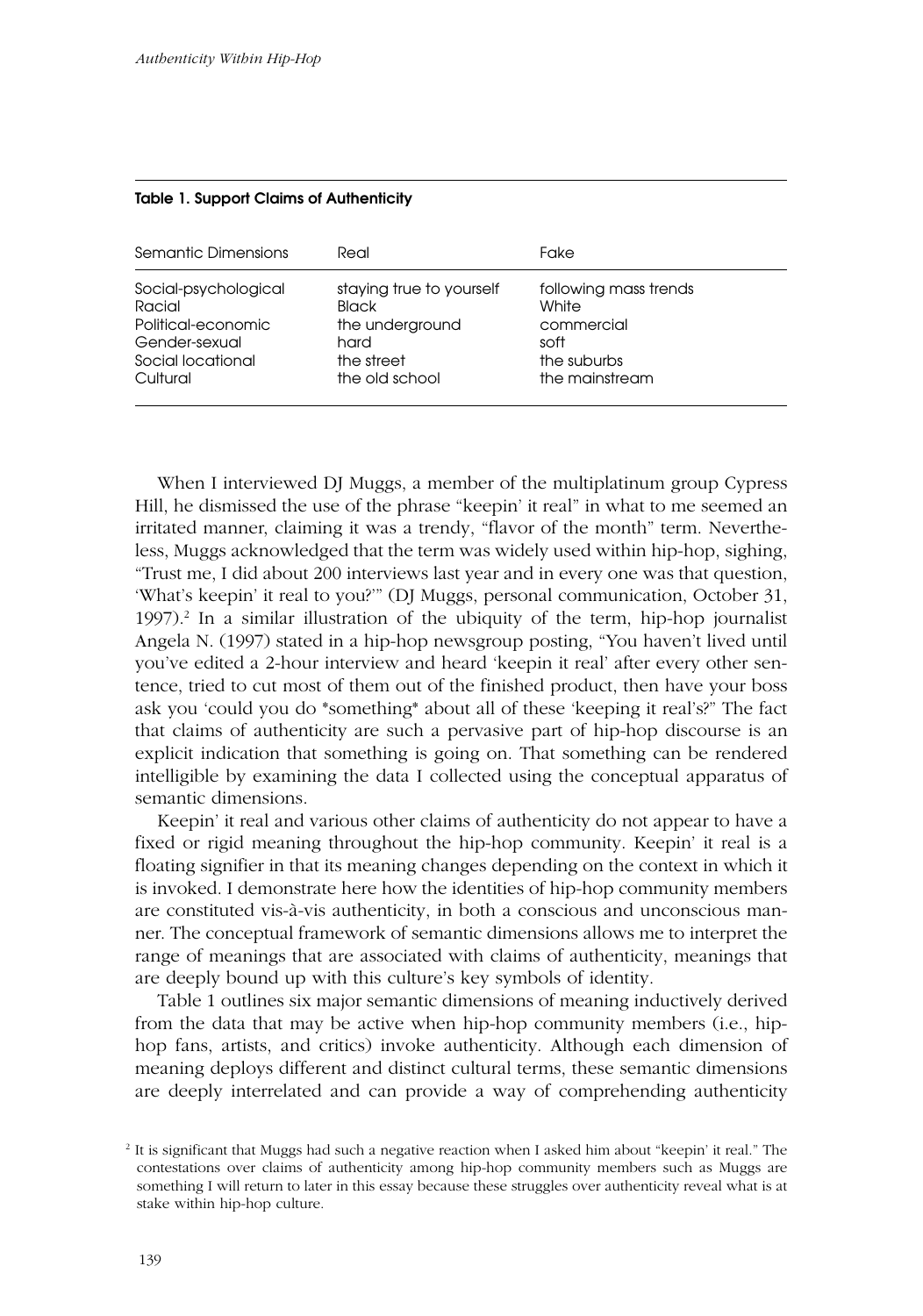| Semantic Dimensions  | Real                     | Fake                  |
|----------------------|--------------------------|-----------------------|
| Social-psychological | staying true to yourself | following mass trends |
| Racial               | <b>Black</b>             | White                 |
| Political-economic   | the underground          | commercial            |
| Gender-sexual        | hard                     | soft                  |
| Social locational    | the street               | the suburbs           |
| Cultural             | the old school           | the mainstream        |

#### Table 1. Support Claims of Authenticity

When I interviewed DJ Muggs, a member of the multiplatinum group Cypress Hill, he dismissed the use of the phrase "keepin' it real" in what to me seemed an irritated manner, claiming it was a trendy, "flavor of the month" term. Nevertheless, Muggs acknowledged that the term was widely used within hip-hop, sighing, "Trust me, I did about 200 interviews last year and in every one was that question, 'What's keepin' it real to you?'" (DJ Muggs, personal communication, October 31, 1997).<sup>2</sup> In a similar illustration of the ubiquity of the term, hip-hop journalist Angela N. (1997) stated in a hip-hop newsgroup posting, "You haven't lived until you've edited a 2-hour interview and heard 'keepin it real' after every other sentence, tried to cut most of them out of the finished product, then have your boss ask you 'could you do \*something\* about all of these 'keeping it real's?" The fact that claims of authenticity are such a pervasive part of hip-hop discourse is an explicit indication that something is going on. That something can be rendered intelligible by examining the data I collected using the conceptual apparatus of semantic dimensions.

Keepin' it real and various other claims of authenticity do not appear to have a fixed or rigid meaning throughout the hip-hop community. Keepin' it real is a floating signifier in that its meaning changes depending on the context in which it is invoked. I demonstrate here how the identities of hip-hop community members are constituted vis-à-vis authenticity, in both a conscious and unconscious manner. The conceptual framework of semantic dimensions allows me to interpret the range of meanings that are associated with claims of authenticity, meanings that are deeply bound up with this culture's key symbols of identity.

Table 1 outlines six major semantic dimensions of meaning inductively derived from the data that may be active when hip-hop community members (i.e., hiphop fans, artists, and critics) invoke authenticity. Although each dimension of meaning deploys different and distinct cultural terms, these semantic dimensions are deeply interrelated and can provide a way of comprehending authenticity

<sup>&</sup>lt;sup>2</sup> It is significant that Muggs had such a negative reaction when I asked him about "keepin' it real." The contestations over claims of authenticity among hip-hop community members such as Muggs are something I will return to later in this essay because these struggles over authenticity reveal what is at stake within hip-hop culture.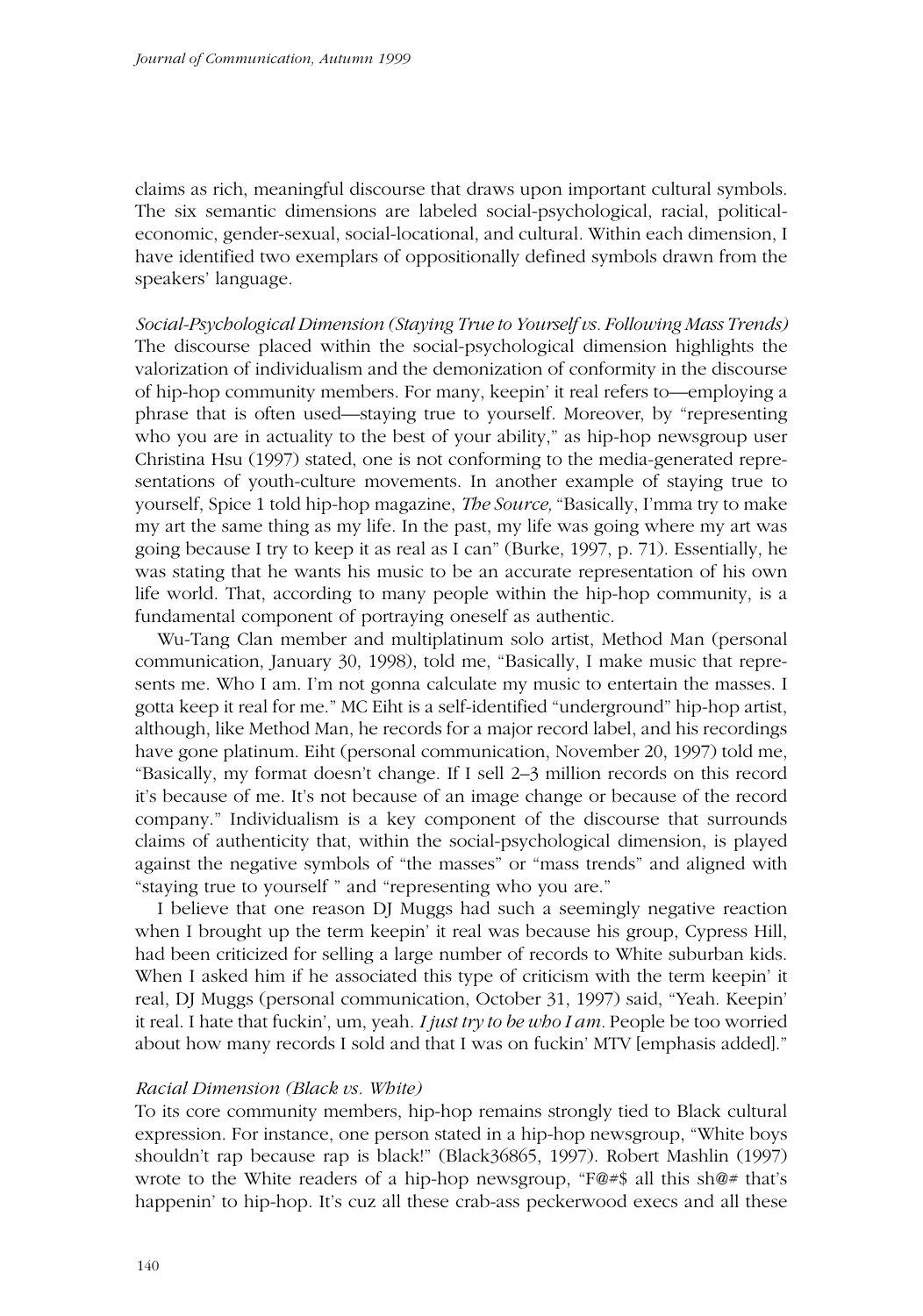claims as rich, meaningful discourse that draws upon important cultural symbols. The six semantic dimensions are labeled social-psychological, racial, politicaleconomic, gender-sexual, social-locational, and cultural. Within each dimension, I have identified two exemplars of oppositionally defined symbols drawn from the speakers' language.

*Social-Psychological Dimension (Staying True to Yourself vs. Following Mass Trends)* The discourse placed within the social-psychological dimension highlights the valorization of individualism and the demonization of conformity in the discourse of hip-hop community members. For many, keepin' it real refers to—employing a phrase that is often used—staying true to yourself. Moreover, by "representing who you are in actuality to the best of your ability," as hip-hop newsgroup user Christina Hsu (1997) stated, one is not conforming to the media-generated representations of youth-culture movements. In another example of staying true to yourself, Spice 1 told hip-hop magazine, *The Source,* "Basically, I'mma try to make my art the same thing as my life. In the past, my life was going where my art was going because I try to keep it as real as I can" (Burke, 1997, p. 71). Essentially, he was stating that he wants his music to be an accurate representation of his own life world. That, according to many people within the hip-hop community, is a fundamental component of portraying oneself as authentic.

Wu-Tang Clan member and multiplatinum solo artist, Method Man (personal communication, January 30, 1998), told me, "Basically, I make music that represents me. Who I am. I'm not gonna calculate my music to entertain the masses. I gotta keep it real for me." MC Eiht is a self-identified "underground" hip-hop artist, although, like Method Man, he records for a major record label, and his recordings have gone platinum. Eiht (personal communication, November 20, 1997) told me, "Basically, my format doesn't change. If I sell 2–3 million records on this record it's because of me. It's not because of an image change or because of the record company." Individualism is a key component of the discourse that surrounds claims of authenticity that, within the social-psychological dimension, is played against the negative symbols of "the masses" or "mass trends" and aligned with "staying true to yourself " and "representing who you are."

I believe that one reason DJ Muggs had such a seemingly negative reaction when I brought up the term keepin' it real was because his group, Cypress Hill, had been criticized for selling a large number of records to White suburban kids. When I asked him if he associated this type of criticism with the term keepin' it real, DJ Muggs (personal communication, October 31, 1997) said, "Yeah. Keepin' it real. I hate that fuckin', um, yeah. *I just try to be who I am.* People be too worried about how many records I sold and that I was on fuckin' MTV [emphasis added]."

#### *Racial Dimension (Black vs. White)*

To its core community members, hip-hop remains strongly tied to Black cultural expression. For instance, one person stated in a hip-hop newsgroup, "White boys shouldn't rap because rap is black!" (Black36865, 1997). Robert Mashlin (1997) wrote to the White readers of a hip-hop newsgroup, " $F@#$ \$ all this sh $@#$  that's happenin' to hip-hop. It's cuz all these crab-ass peckerwood execs and all these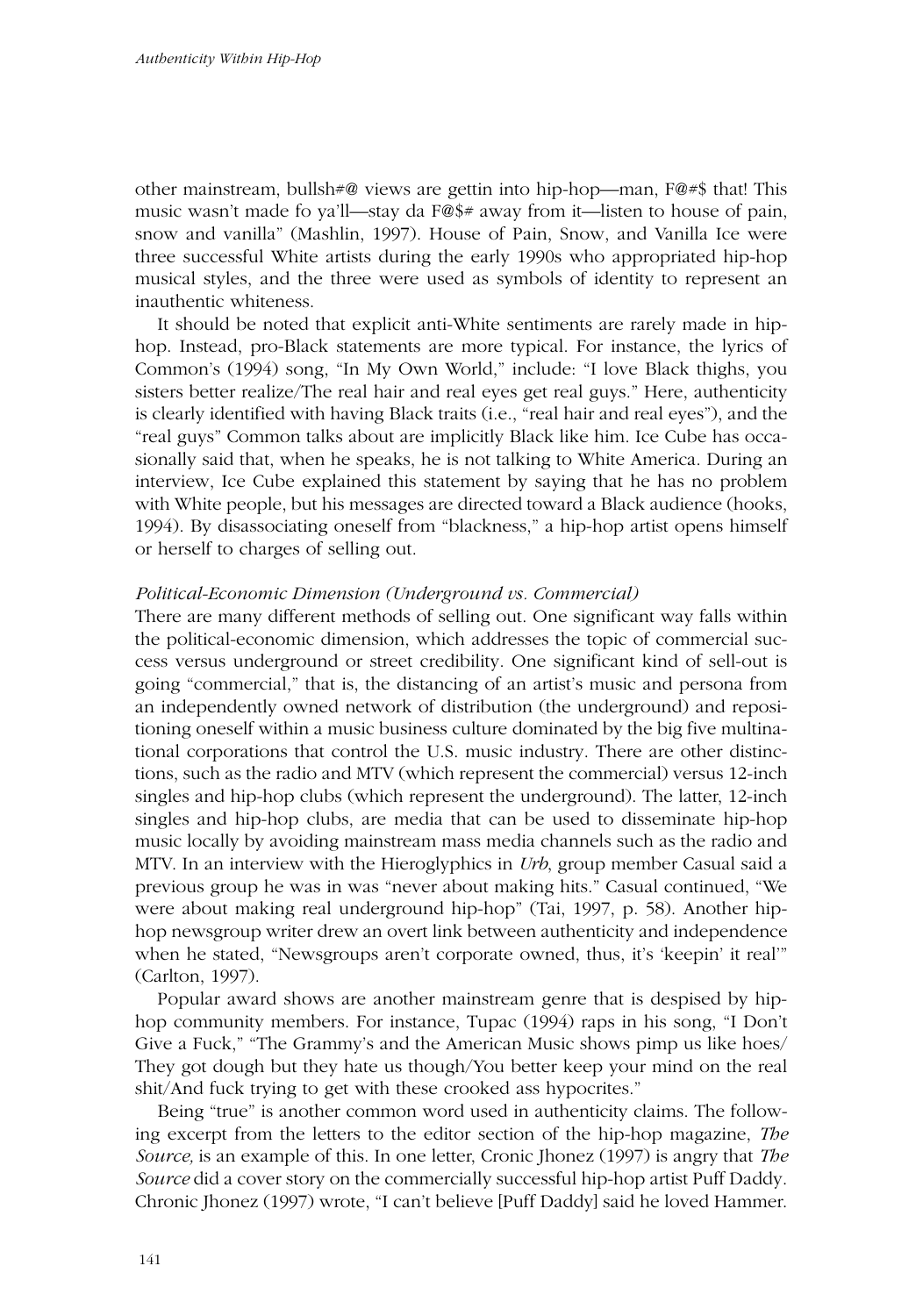other mainstream, bullsh#@ views are gettin into hip-hop—man, F@#\$ that! This music wasn't made fo ya'll—stay da F@\$# away from it—listen to house of pain, snow and vanilla" (Mashlin, 1997). House of Pain, Snow, and Vanilla Ice were three successful White artists during the early 1990s who appropriated hip-hop musical styles, and the three were used as symbols of identity to represent an inauthentic whiteness.

It should be noted that explicit anti-White sentiments are rarely made in hiphop. Instead, pro-Black statements are more typical. For instance, the lyrics of Common's (1994) song, "In My Own World," include: "I love Black thighs, you sisters better realize/The real hair and real eyes get real guys." Here, authenticity is clearly identified with having Black traits (i.e., "real hair and real eyes"), and the "real guys" Common talks about are implicitly Black like him. Ice Cube has occasionally said that, when he speaks, he is not talking to White America. During an interview, Ice Cube explained this statement by saying that he has no problem with White people, but his messages are directed toward a Black audience (hooks, 1994). By disassociating oneself from "blackness," a hip-hop artist opens himself or herself to charges of selling out.

# *Political-Economic Dimension (Underground vs. Commercial)*

There are many different methods of selling out. One significant way falls within the political-economic dimension, which addresses the topic of commercial success versus underground or street credibility. One significant kind of sell-out is going "commercial," that is, the distancing of an artist's music and persona from an independently owned network of distribution (the underground) and repositioning oneself within a music business culture dominated by the big five multinational corporations that control the U.S. music industry. There are other distinctions, such as the radio and MTV (which represent the commercial) versus 12-inch singles and hip-hop clubs (which represent the underground). The latter, 12-inch singles and hip-hop clubs, are media that can be used to disseminate hip-hop music locally by avoiding mainstream mass media channels such as the radio and MTV. In an interview with the Hieroglyphics in *Urb*, group member Casual said a previous group he was in was "never about making hits." Casual continued, "We were about making real underground hip-hop" (Tai, 1997, p. 58). Another hiphop newsgroup writer drew an overt link between authenticity and independence when he stated, "Newsgroups aren't corporate owned, thus, it's 'keepin' it real'" (Carlton, 1997).

Popular award shows are another mainstream genre that is despised by hiphop community members. For instance, Tupac (1994) raps in his song, "I Don't Give a Fuck," "The Grammy's and the American Music shows pimp us like hoes/ They got dough but they hate us though/You better keep your mind on the real shit/And fuck trying to get with these crooked ass hypocrites."

Being "true" is another common word used in authenticity claims. The following excerpt from the letters to the editor section of the hip-hop magazine, *The Source,* is an example of this. In one letter, Cronic Jhonez (1997) is angry that *The Source* did a cover story on the commercially successful hip-hop artist Puff Daddy. Chronic Jhonez (1997) wrote, "I can't believe [Puff Daddy] said he loved Hammer.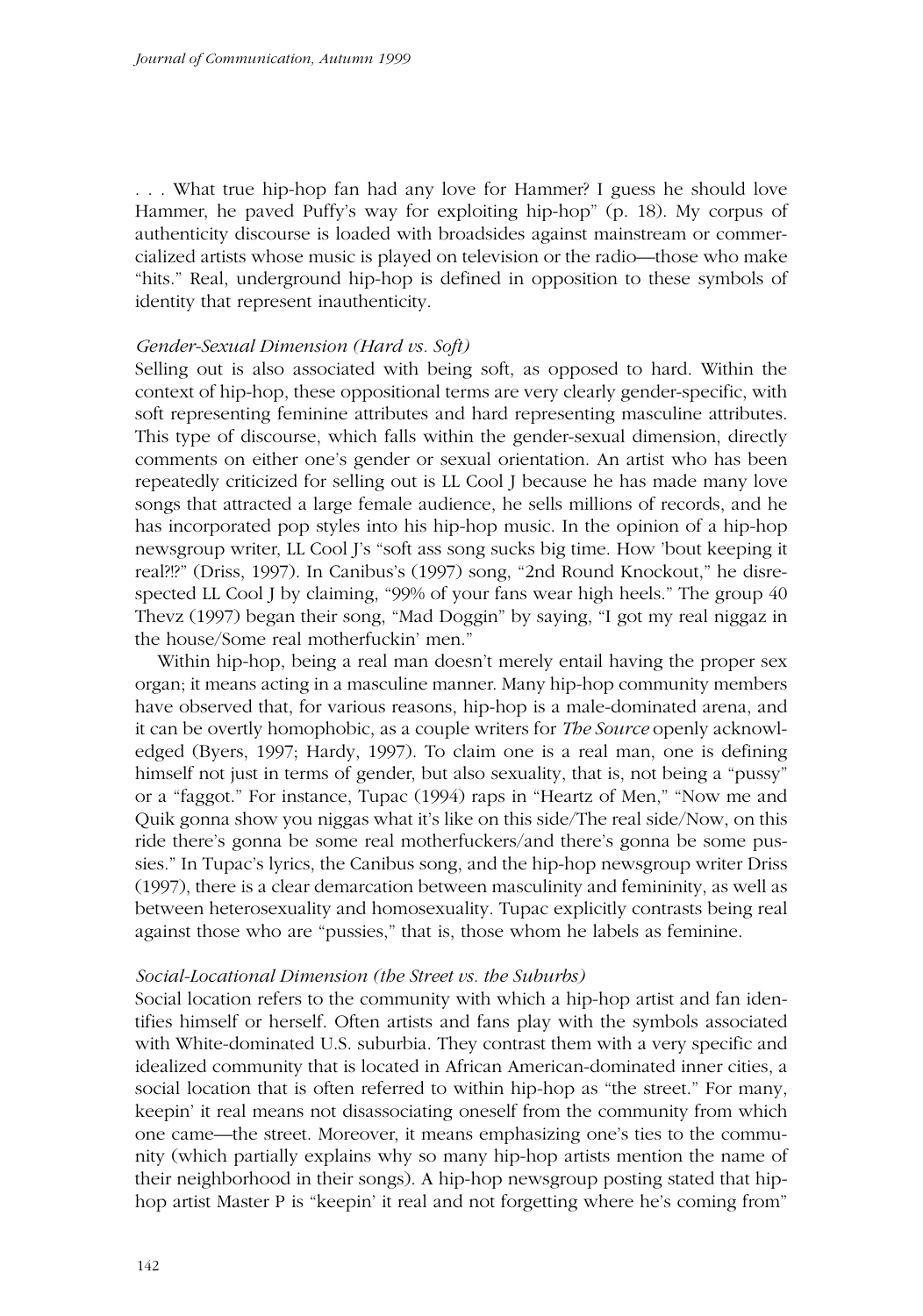. . . What true hip-hop fan had any love for Hammer? I guess he should love Hammer, he paved Puffy's way for exploiting hip-hop" (p. 18). My corpus of authenticity discourse is loaded with broadsides against mainstream or commercialized artists whose music is played on television or the radio—those who make "hits." Real, underground hip-hop is defined in opposition to these symbols of identity that represent inauthenticity.

### *Gender-Sexual Dimension (Hard vs. Soft)*

Selling out is also associated with being soft, as opposed to hard. Within the context of hip-hop, these oppositional terms are very clearly gender-specific, with soft representing feminine attributes and hard representing masculine attributes. This type of discourse, which falls within the gender-sexual dimension, directly comments on either one's gender or sexual orientation. An artist who has been repeatedly criticized for selling out is LL Cool J because he has made many love songs that attracted a large female audience, he sells millions of records, and he has incorporated pop styles into his hip-hop music. In the opinion of a hip-hop newsgroup writer, LL Cool J's "soft ass song sucks big time. How 'bout keeping it real?!?" (Driss, 1997). In Canibus's (1997) song, "2nd Round Knockout," he disrespected LL Cool J by claiming, "99% of your fans wear high heels." The group 40 Thevz (1997) began their song, "Mad Doggin" by saying, "I got my real niggaz in the house/Some real motherfuckin' men."

Within hip-hop, being a real man doesn't merely entail having the proper sex organ; it means acting in a masculine manner. Many hip-hop community members have observed that, for various reasons, hip-hop is a male-dominated arena, and it can be overtly homophobic, as a couple writers for *The Source* openly acknowledged (Byers, 1997; Hardy, 1997). To claim one is a real man, one is defining himself not just in terms of gender, but also sexuality, that is, not being a "pussy" or a "faggot." For instance, Tupac (1994) raps in "Heartz of Men," "Now me and Quik gonna show you niggas what it's like on this side/The real side/Now, on this ride there's gonna be some real motherfuckers/and there's gonna be some pussies." In Tupac's lyrics, the Canibus song, and the hip-hop newsgroup writer Driss (1997), there is a clear demarcation between masculinity and femininity, as well as between heterosexuality and homosexuality. Tupac explicitly contrasts being real against those who are "pussies," that is, those whom he labels as feminine.

#### *Social-Locational Dimension (the Street vs. the Suburbs)*

Social location refers to the community with which a hip-hop artist and fan identifies himself or herself. Often artists and fans play with the symbols associated with White-dominated U.S. suburbia. They contrast them with a very specific and idealized community that is located in African American-dominated inner cities, a social location that is often referred to within hip-hop as "the street." For many, keepin' it real means not disassociating oneself from the community from which one came—the street. Moreover, it means emphasizing one's ties to the community (which partially explains why so many hip-hop artists mention the name of their neighborhood in their songs). A hip-hop newsgroup posting stated that hiphop artist Master P is "keepin' it real and not forgetting where he's coming from"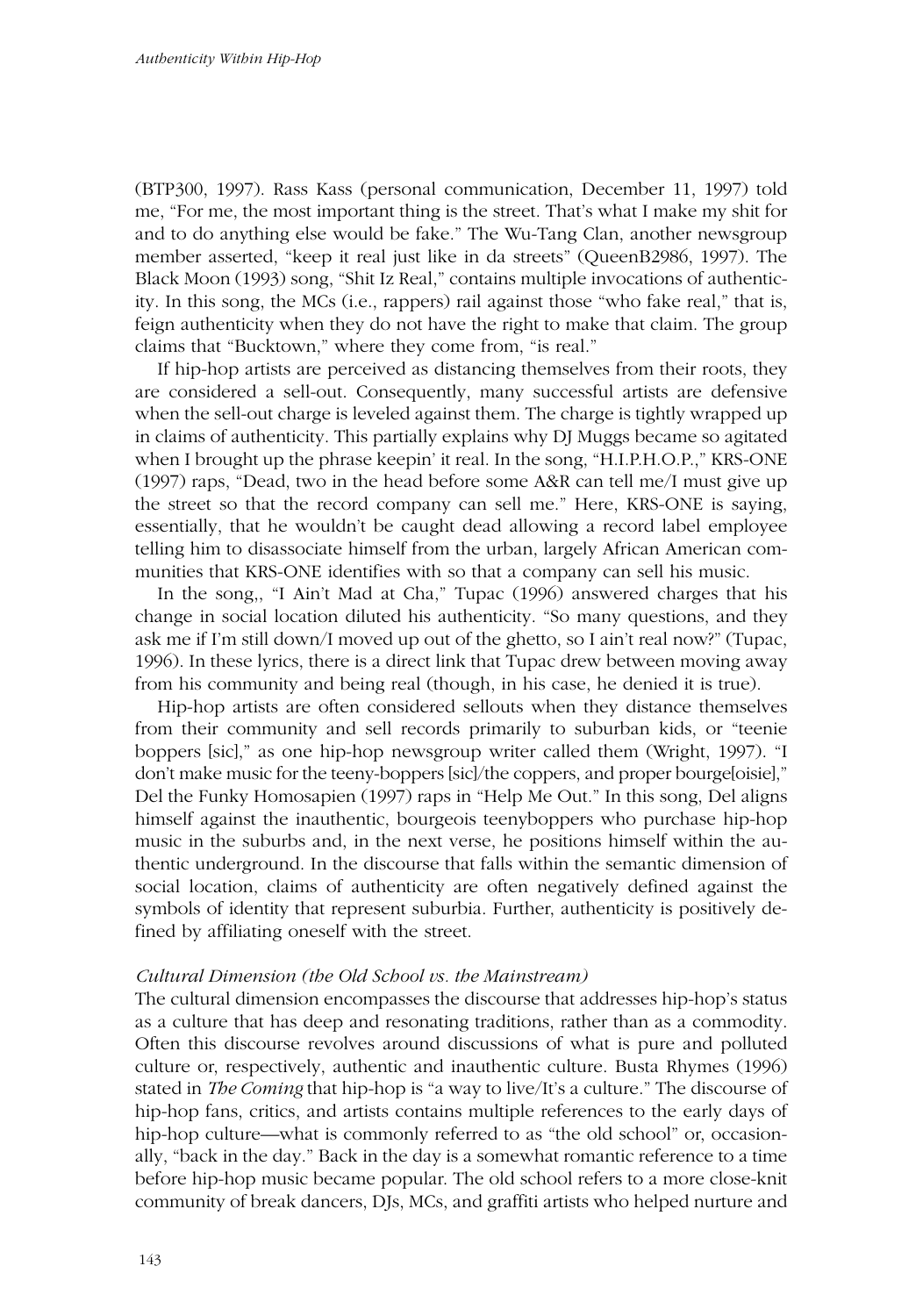(BTP300, 1997). Rass Kass (personal communication, December 11, 1997) told me, "For me, the most important thing is the street. That's what I make my shit for and to do anything else would be fake." The Wu-Tang Clan, another newsgroup member asserted, "keep it real just like in da streets" (QueenB2986, 1997). The Black Moon (1993) song, "Shit Iz Real," contains multiple invocations of authenticity. In this song, the MCs (i.e., rappers) rail against those "who fake real," that is, feign authenticity when they do not have the right to make that claim. The group claims that "Bucktown," where they come from, "is real."

If hip-hop artists are perceived as distancing themselves from their roots, they are considered a sell-out. Consequently, many successful artists are defensive when the sell-out charge is leveled against them. The charge is tightly wrapped up in claims of authenticity. This partially explains why DJ Muggs became so agitated when I brought up the phrase keepin' it real. In the song, "H.I.P.H.O.P.," KRS-ONE (1997) raps, "Dead, two in the head before some A&R can tell me/I must give up the street so that the record company can sell me." Here, KRS-ONE is saying, essentially, that he wouldn't be caught dead allowing a record label employee telling him to disassociate himself from the urban, largely African American communities that KRS-ONE identifies with so that a company can sell his music.

In the song,, "I Ain't Mad at Cha," Tupac (1996) answered charges that his change in social location diluted his authenticity. "So many questions, and they ask me if I'm still down/I moved up out of the ghetto, so I ain't real now?" (Tupac, 1996). In these lyrics, there is a direct link that Tupac drew between moving away from his community and being real (though, in his case, he denied it is true).

Hip-hop artists are often considered sellouts when they distance themselves from their community and sell records primarily to suburban kids, or "teenie boppers [sic]," as one hip-hop newsgroup writer called them (Wright, 1997). "I don't make music for the teeny-boppers [sic]/the coppers, and proper bourge[oisie]," Del the Funky Homosapien (1997) raps in "Help Me Out." In this song, Del aligns himself against the inauthentic, bourgeois teenyboppers who purchase hip-hop music in the suburbs and, in the next verse, he positions himself within the authentic underground. In the discourse that falls within the semantic dimension of social location, claims of authenticity are often negatively defined against the symbols of identity that represent suburbia. Further, authenticity is positively defined by affiliating oneself with the street.

#### *Cultural Dimension (the Old School vs. the Mainstream)*

The cultural dimension encompasses the discourse that addresses hip-hop's status as a culture that has deep and resonating traditions, rather than as a commodity. Often this discourse revolves around discussions of what is pure and polluted culture or, respectively, authentic and inauthentic culture. Busta Rhymes (1996) stated in *The Coming* that hip-hop is "a way to live/It's a culture." The discourse of hip-hop fans, critics, and artists contains multiple references to the early days of hip-hop culture—what is commonly referred to as "the old school" or, occasionally, "back in the day." Back in the day is a somewhat romantic reference to a time before hip-hop music became popular. The old school refers to a more close-knit community of break dancers, DJs, MCs, and graffiti artists who helped nurture and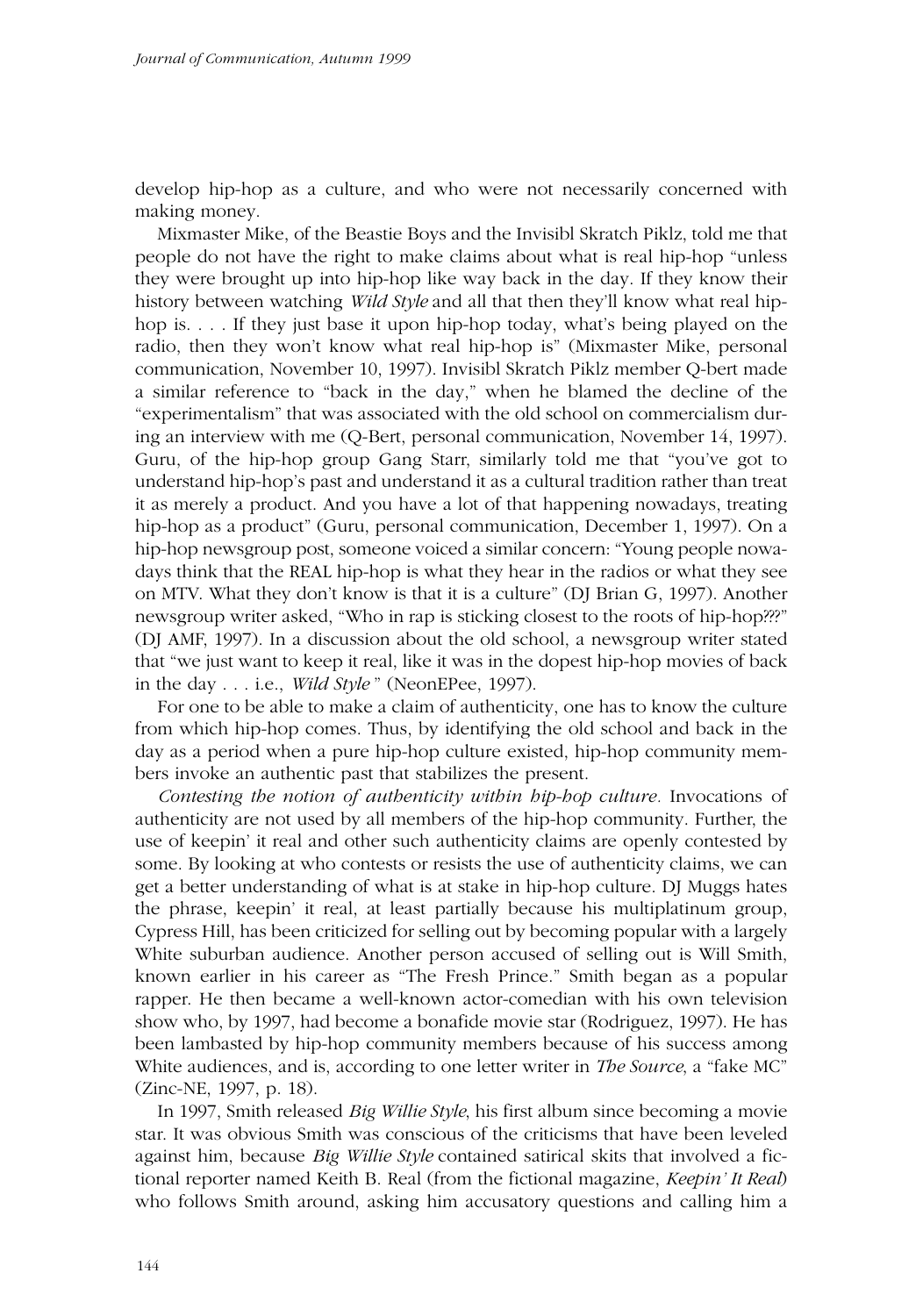develop hip-hop as a culture, and who were not necessarily concerned with making money.

Mixmaster Mike, of the Beastie Boys and the Invisibl Skratch Piklz, told me that people do not have the right to make claims about what is real hip-hop "unless they were brought up into hip-hop like way back in the day. If they know their history between watching *Wild Style* and all that then they'll know what real hiphop is. . . . If they just base it upon hip-hop today, what's being played on the radio, then they won't know what real hip-hop is" (Mixmaster Mike, personal communication, November 10, 1997). Invisibl Skratch Piklz member Q-bert made a similar reference to "back in the day," when he blamed the decline of the "experimentalism" that was associated with the old school on commercialism during an interview with me (Q-Bert, personal communication, November 14, 1997). Guru, of the hip-hop group Gang Starr, similarly told me that "you've got to understand hip-hop's past and understand it as a cultural tradition rather than treat it as merely a product. And you have a lot of that happening nowadays, treating hip-hop as a product" (Guru, personal communication, December 1, 1997). On a hip-hop newsgroup post, someone voiced a similar concern: "Young people nowadays think that the REAL hip-hop is what they hear in the radios or what they see on MTV. What they don't know is that it is a culture" (DJ Brian G, 1997). Another newsgroup writer asked, "Who in rap is sticking closest to the roots of hip-hop???" (DJ AMF, 1997). In a discussion about the old school, a newsgroup writer stated that "we just want to keep it real, like it was in the dopest hip-hop movies of back in the day . . . i.e., *Wild Style* " (NeonEPee, 1997).

For one to be able to make a claim of authenticity, one has to know the culture from which hip-hop comes. Thus, by identifying the old school and back in the day as a period when a pure hip-hop culture existed, hip-hop community members invoke an authentic past that stabilizes the present.

*Contesting the notion of authenticity within hip-hop culture.* Invocations of authenticity are not used by all members of the hip-hop community. Further, the use of keepin' it real and other such authenticity claims are openly contested by some. By looking at who contests or resists the use of authenticity claims, we can get a better understanding of what is at stake in hip-hop culture. DJ Muggs hates the phrase, keepin' it real, at least partially because his multiplatinum group, Cypress Hill, has been criticized for selling out by becoming popular with a largely White suburban audience. Another person accused of selling out is Will Smith, known earlier in his career as "The Fresh Prince." Smith began as a popular rapper. He then became a well-known actor-comedian with his own television show who, by 1997, had become a bonafide movie star (Rodriguez, 1997). He has been lambasted by hip-hop community members because of his success among White audiences, and is, according to one letter writer in *The Source*, a "fake MC" (Zinc-NE, 1997, p. 18).

In 1997, Smith released *Big Willie Style*, his first album since becoming a movie star. It was obvious Smith was conscious of the criticisms that have been leveled against him, because *Big Willie Style* contained satirical skits that involved a fictional reporter named Keith B. Real (from the fictional magazine, *Keepin' It Real*) who follows Smith around, asking him accusatory questions and calling him a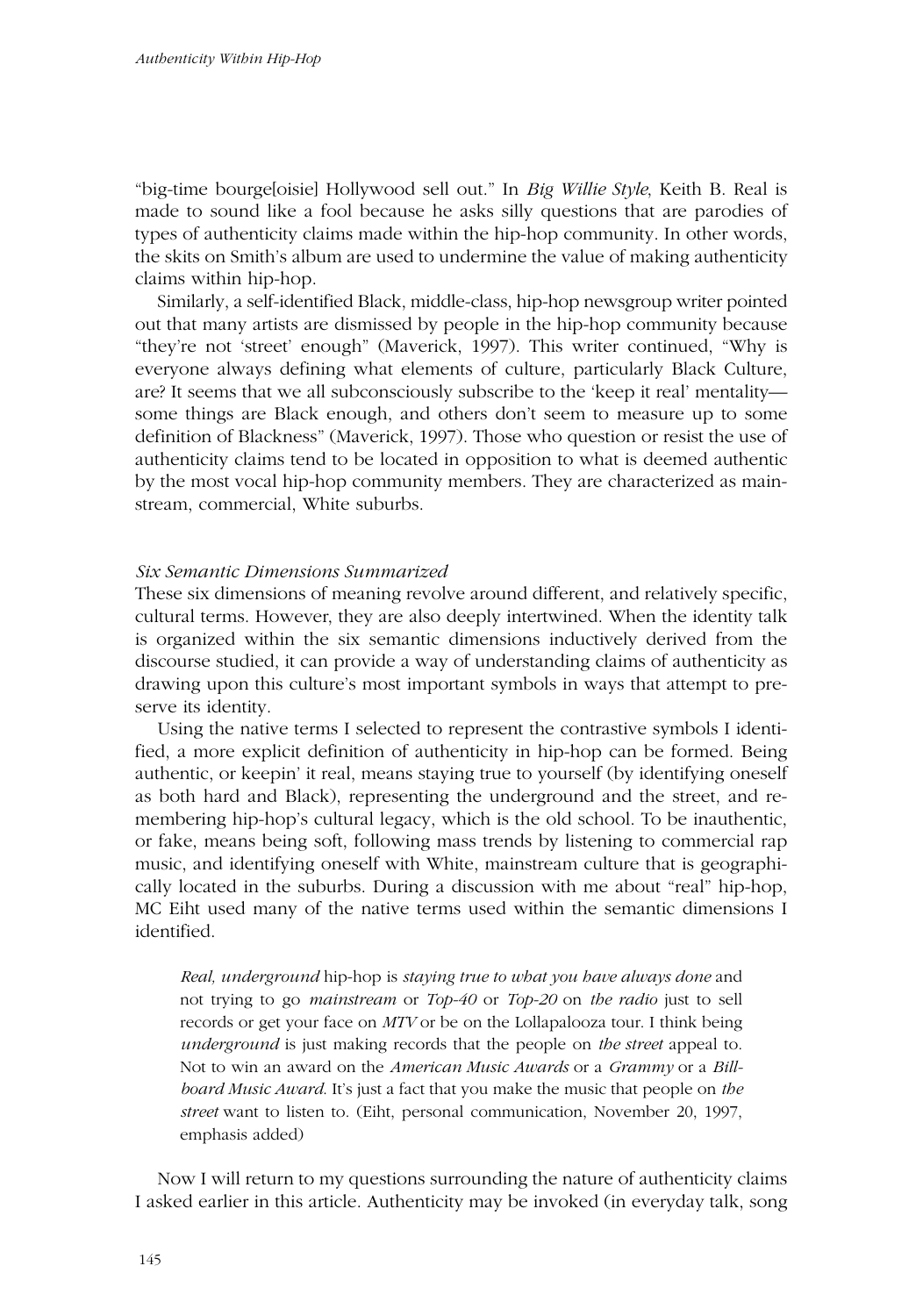"big-time bourge[oisie] Hollywood sell out." In *Big Willie Style*, Keith B. Real is made to sound like a fool because he asks silly questions that are parodies of types of authenticity claims made within the hip-hop community. In other words, the skits on Smith's album are used to undermine the value of making authenticity claims within hip-hop.

Similarly, a self-identified Black, middle-class, hip-hop newsgroup writer pointed out that many artists are dismissed by people in the hip-hop community because "they're not 'street' enough" (Maverick, 1997). This writer continued, "Why is everyone always defining what elements of culture, particularly Black Culture, are? It seems that we all subconsciously subscribe to the 'keep it real' mentality some things are Black enough, and others don't seem to measure up to some definition of Blackness" (Maverick, 1997). Those who question or resist the use of authenticity claims tend to be located in opposition to what is deemed authentic by the most vocal hip-hop community members. They are characterized as mainstream, commercial, White suburbs.

# *Six Semantic Dimensions Summarized*

These six dimensions of meaning revolve around different, and relatively specific, cultural terms. However, they are also deeply intertwined. When the identity talk is organized within the six semantic dimensions inductively derived from the discourse studied, it can provide a way of understanding claims of authenticity as drawing upon this culture's most important symbols in ways that attempt to preserve its identity.

Using the native terms I selected to represent the contrastive symbols I identified, a more explicit definition of authenticity in hip-hop can be formed. Being authentic, or keepin' it real, means staying true to yourself (by identifying oneself as both hard and Black), representing the underground and the street, and remembering hip-hop's cultural legacy, which is the old school. To be inauthentic, or fake, means being soft, following mass trends by listening to commercial rap music, and identifying oneself with White, mainstream culture that is geographically located in the suburbs. During a discussion with me about "real" hip-hop, MC Eiht used many of the native terms used within the semantic dimensions I identified.

*Real, underground* hip-hop is *staying true to what you have always done* and not trying to go *mainstream* or *Top-40* or *Top-20* on *the radio* just to sell records or get your face on *MTV* or be on the Lollapalooza tour. I think being *underground* is just making records that the people on *the street* appeal to. Not to win an award on the *American Music Awards* or a *Grammy* or a *Billboard Music Award*. It's just a fact that you make the music that people on *the street* want to listen to. (Eiht, personal communication, November 20, 1997, emphasis added)

Now I will return to my questions surrounding the nature of authenticity claims I asked earlier in this article. Authenticity may be invoked (in everyday talk, song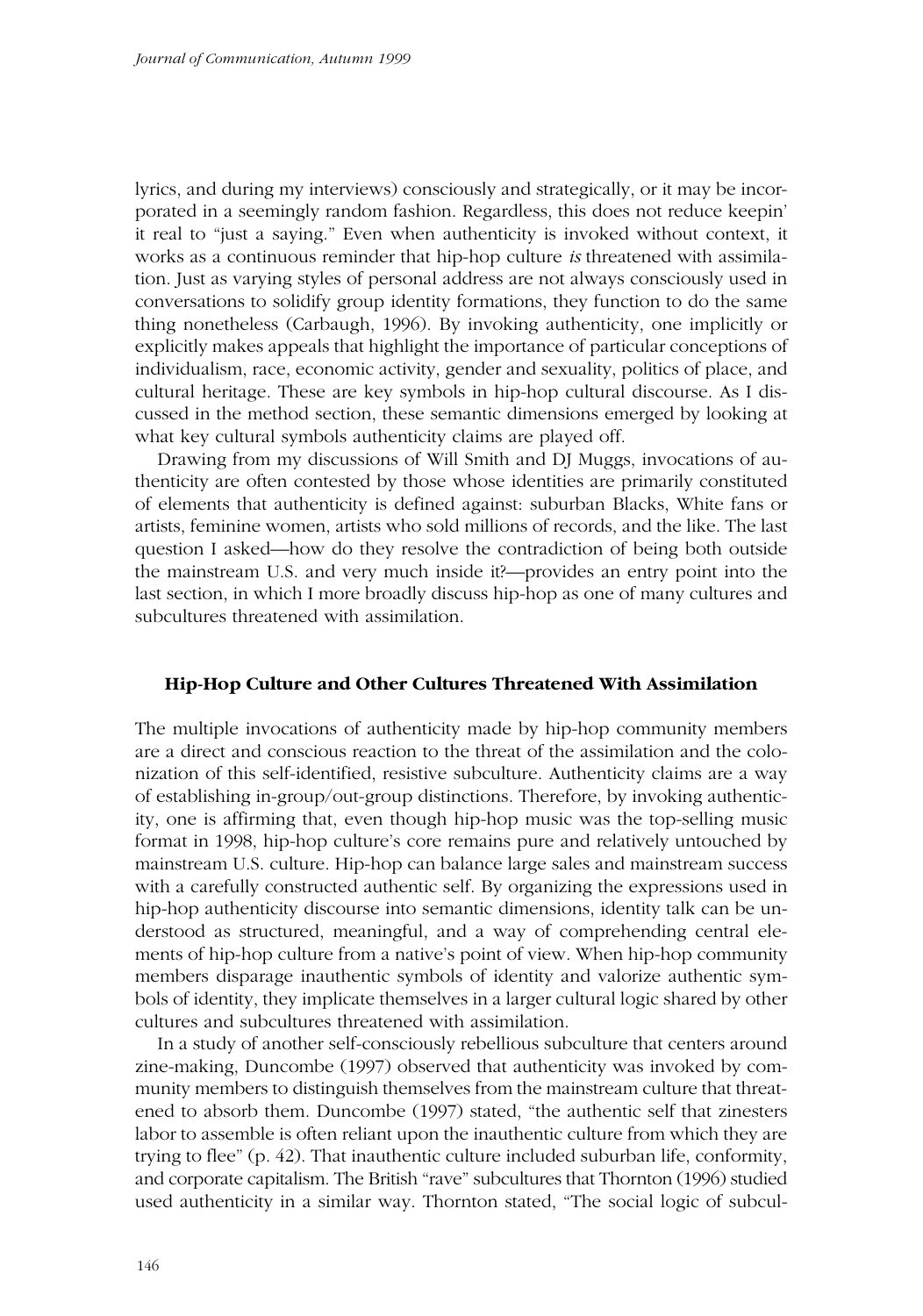lyrics, and during my interviews) consciously and strategically, or it may be incorporated in a seemingly random fashion. Regardless, this does not reduce keepin' it real to "just a saying." Even when authenticity is invoked without context, it works as a continuous reminder that hip-hop culture *is* threatened with assimilation. Just as varying styles of personal address are not always consciously used in conversations to solidify group identity formations, they function to do the same thing nonetheless (Carbaugh, 1996). By invoking authenticity, one implicitly or explicitly makes appeals that highlight the importance of particular conceptions of individualism, race, economic activity, gender and sexuality, politics of place, and cultural heritage. These are key symbols in hip-hop cultural discourse. As I discussed in the method section, these semantic dimensions emerged by looking at what key cultural symbols authenticity claims are played off.

Drawing from my discussions of Will Smith and DJ Muggs, invocations of authenticity are often contested by those whose identities are primarily constituted of elements that authenticity is defined against: suburban Blacks, White fans or artists, feminine women, artists who sold millions of records, and the like. The last question I asked—how do they resolve the contradiction of being both outside the mainstream U.S. and very much inside it?—provides an entry point into the last section, in which I more broadly discuss hip-hop as one of many cultures and subcultures threatened with assimilation.

#### **Hip-Hop Culture and Other Cultures Threatened With Assimilation**

The multiple invocations of authenticity made by hip-hop community members are a direct and conscious reaction to the threat of the assimilation and the colonization of this self-identified, resistive subculture. Authenticity claims are a way of establishing in-group/out-group distinctions. Therefore, by invoking authenticity, one is affirming that, even though hip-hop music was the top-selling music format in 1998, hip-hop culture's core remains pure and relatively untouched by mainstream U.S. culture. Hip-hop can balance large sales and mainstream success with a carefully constructed authentic self. By organizing the expressions used in hip-hop authenticity discourse into semantic dimensions, identity talk can be understood as structured, meaningful, and a way of comprehending central elements of hip-hop culture from a native's point of view. When hip-hop community members disparage inauthentic symbols of identity and valorize authentic symbols of identity, they implicate themselves in a larger cultural logic shared by other cultures and subcultures threatened with assimilation.

In a study of another self-consciously rebellious subculture that centers around zine-making, Duncombe (1997) observed that authenticity was invoked by community members to distinguish themselves from the mainstream culture that threatened to absorb them. Duncombe (1997) stated, "the authentic self that zinesters labor to assemble is often reliant upon the inauthentic culture from which they are trying to flee" (p. 42). That inauthentic culture included suburban life, conformity, and corporate capitalism. The British "rave" subcultures that Thornton (1996) studied used authenticity in a similar way. Thornton stated, "The social logic of subcul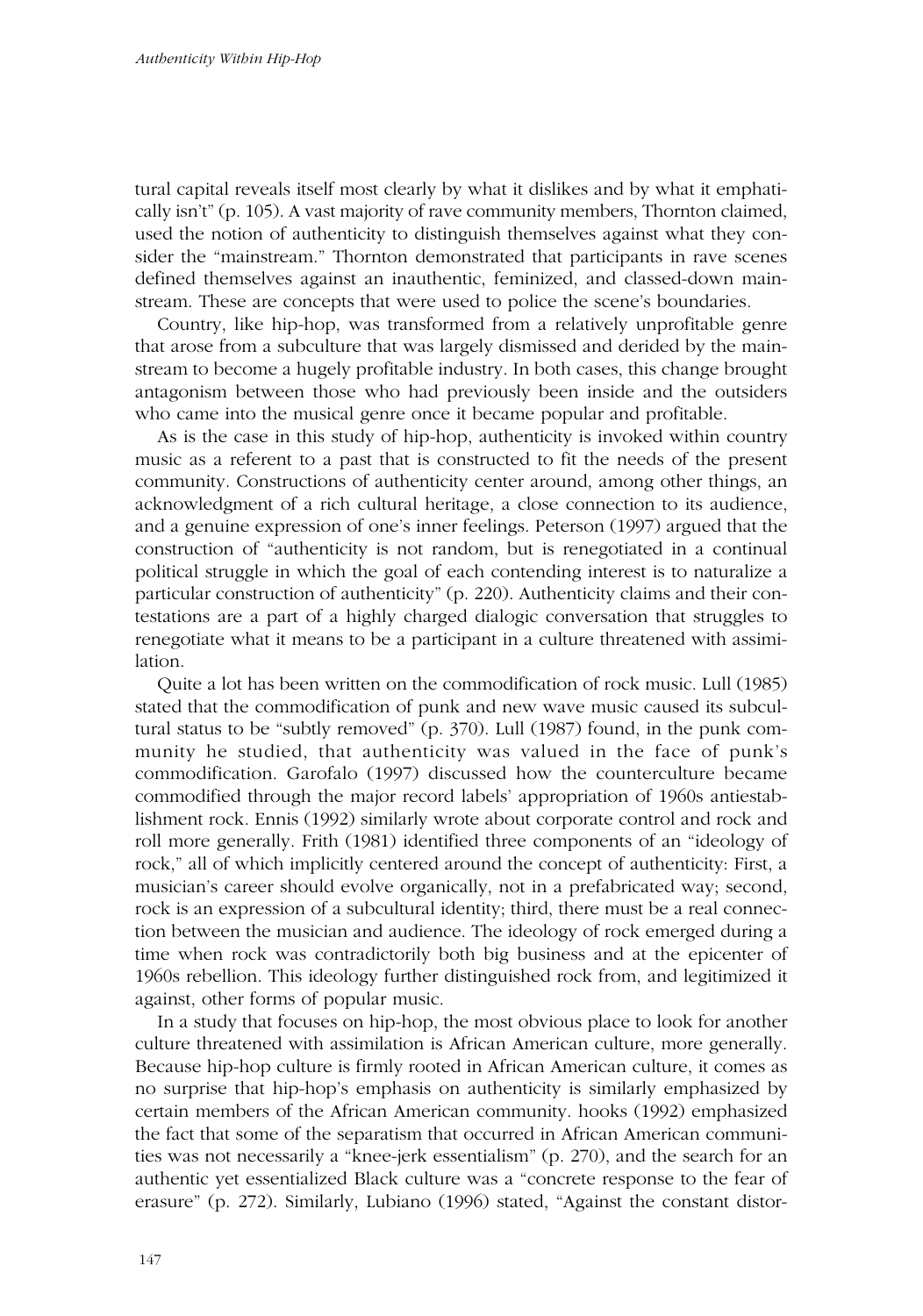tural capital reveals itself most clearly by what it dislikes and by what it emphatically isn't" (p. 105). A vast majority of rave community members, Thornton claimed, used the notion of authenticity to distinguish themselves against what they consider the "mainstream." Thornton demonstrated that participants in rave scenes defined themselves against an inauthentic, feminized, and classed-down mainstream. These are concepts that were used to police the scene's boundaries.

Country, like hip-hop, was transformed from a relatively unprofitable genre that arose from a subculture that was largely dismissed and derided by the mainstream to become a hugely profitable industry. In both cases, this change brought antagonism between those who had previously been inside and the outsiders who came into the musical genre once it became popular and profitable.

As is the case in this study of hip-hop, authenticity is invoked within country music as a referent to a past that is constructed to fit the needs of the present community. Constructions of authenticity center around, among other things, an acknowledgment of a rich cultural heritage, a close connection to its audience, and a genuine expression of one's inner feelings. Peterson (1997) argued that the construction of "authenticity is not random, but is renegotiated in a continual political struggle in which the goal of each contending interest is to naturalize a particular construction of authenticity" (p. 220). Authenticity claims and their contestations are a part of a highly charged dialogic conversation that struggles to renegotiate what it means to be a participant in a culture threatened with assimilation.

Quite a lot has been written on the commodification of rock music. Lull (1985) stated that the commodification of punk and new wave music caused its subcultural status to be "subtly removed" (p. 370). Lull (1987) found, in the punk community he studied, that authenticity was valued in the face of punk's commodification. Garofalo (1997) discussed how the counterculture became commodified through the major record labels' appropriation of 1960s antiestablishment rock. Ennis (1992) similarly wrote about corporate control and rock and roll more generally. Frith (1981) identified three components of an "ideology of rock," all of which implicitly centered around the concept of authenticity: First, a musician's career should evolve organically, not in a prefabricated way; second, rock is an expression of a subcultural identity; third, there must be a real connection between the musician and audience. The ideology of rock emerged during a time when rock was contradictorily both big business and at the epicenter of 1960s rebellion. This ideology further distinguished rock from, and legitimized it against, other forms of popular music.

In a study that focuses on hip-hop, the most obvious place to look for another culture threatened with assimilation is African American culture, more generally. Because hip-hop culture is firmly rooted in African American culture, it comes as no surprise that hip-hop's emphasis on authenticity is similarly emphasized by certain members of the African American community. hooks (1992) emphasized the fact that some of the separatism that occurred in African American communities was not necessarily a "knee-jerk essentialism" (p. 270), and the search for an authentic yet essentialized Black culture was a "concrete response to the fear of erasure" (p. 272). Similarly, Lubiano (1996) stated, "Against the constant distor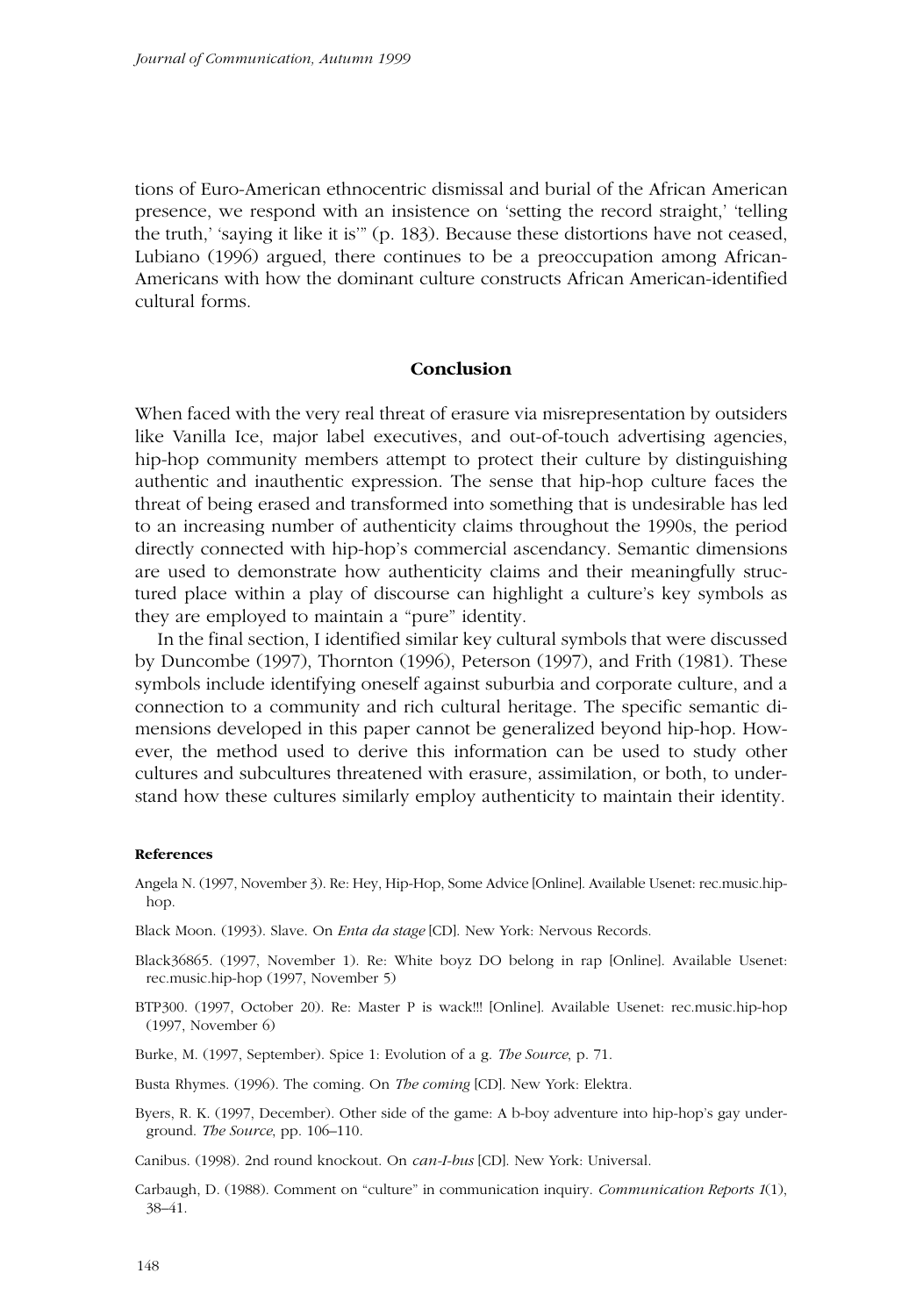tions of Euro-American ethnocentric dismissal and burial of the African American presence, we respond with an insistence on 'setting the record straight,' 'telling the truth,' 'saying it like it is'" (p. 183). Because these distortions have not ceased, Lubiano (1996) argued, there continues to be a preoccupation among African-Americans with how the dominant culture constructs African American-identified cultural forms.

# **Conclusion**

When faced with the very real threat of erasure via misrepresentation by outsiders like Vanilla Ice, major label executives, and out-of-touch advertising agencies, hip-hop community members attempt to protect their culture by distinguishing authentic and inauthentic expression. The sense that hip-hop culture faces the threat of being erased and transformed into something that is undesirable has led to an increasing number of authenticity claims throughout the 1990s, the period directly connected with hip-hop's commercial ascendancy. Semantic dimensions are used to demonstrate how authenticity claims and their meaningfully structured place within a play of discourse can highlight a culture's key symbols as they are employed to maintain a "pure" identity.

In the final section, I identified similar key cultural symbols that were discussed by Duncombe (1997), Thornton (1996), Peterson (1997), and Frith (1981). These symbols include identifying oneself against suburbia and corporate culture, and a connection to a community and rich cultural heritage. The specific semantic dimensions developed in this paper cannot be generalized beyond hip-hop. However, the method used to derive this information can be used to study other cultures and subcultures threatened with erasure, assimilation, or both, to understand how these cultures similarly employ authenticity to maintain their identity.

#### **References**

Angela N. (1997, November 3). Re: Hey, Hip-Hop, Some Advice [Online]. Available Usenet: rec.music.hiphop.

Black Moon. (1993). Slave. On *Enta da stage* [CD]. New York: Nervous Records.

- Black36865. (1997, November 1). Re: White boyz DO belong in rap [Online]. Available Usenet: rec.music.hip-hop (1997, November 5)
- BTP300. (1997, October 20). Re: Master P is wack!!! [Online]. Available Usenet: rec.music.hip-hop (1997, November 6)
- Burke, M. (1997, September). Spice 1: Evolution of a g. *The Source*, p. 71.

Busta Rhymes. (1996). The coming. On *The coming* [CD]. New York: Elektra.

Byers, R. K. (1997, December). Other side of the game: A b-boy adventure into hip-hop's gay underground. *The Source*, pp. 106–110.

Canibus. (1998). 2nd round knockout. On *can-I-bus* [CD]. New York: Universal.

Carbaugh, D. (1988). Comment on "culture" in communication inquiry. *Communication Reports 1*(1), 38–41.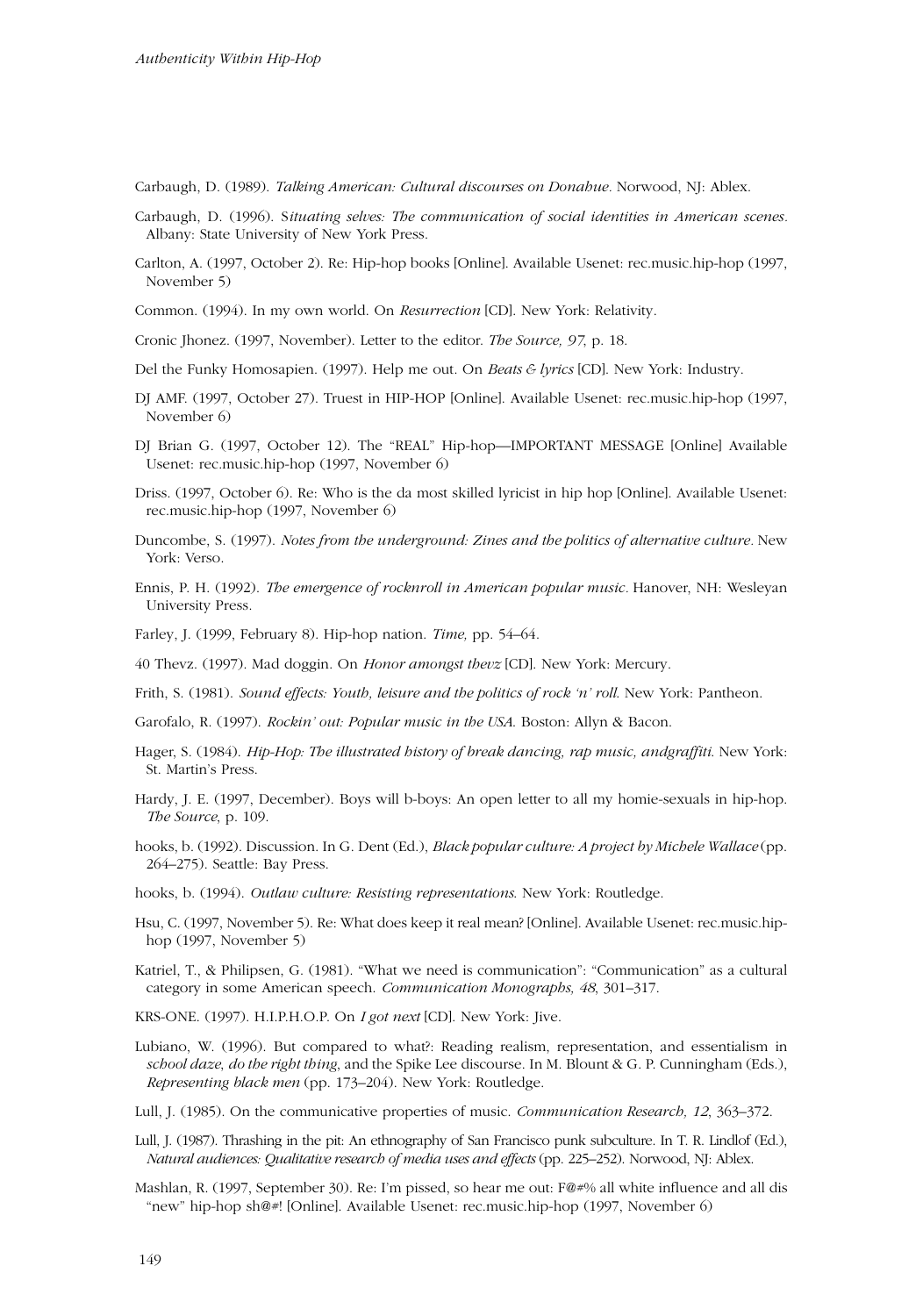Carbaugh, D. (1989). *Talking American: Cultural discourses on Donahue.* Norwood, NJ: Ablex.

- Carbaugh, D. (1996). S*ituating selves: The communication of social identities in American scenes.* Albany: State University of New York Press.
- Carlton, A. (1997, October 2). Re: Hip-hop books [Online]. Available Usenet: rec.music.hip-hop (1997, November 5)
- Common. (1994). In my own world. On *Resurrection* [CD]. New York: Relativity.
- Cronic Jhonez. (1997, November). Letter to the editor. *The Source, 97*, p. 18.
- Del the Funky Homosapien. (1997). Help me out. On *Beats & lyrics* [CD]. New York: Industry.
- DJ AMF. (1997, October 27). Truest in HIP-HOP [Online]. Available Usenet: rec.music.hip-hop (1997, November 6)
- DJ Brian G. (1997, October 12). The "REAL" Hip-hop—IMPORTANT MESSAGE [Online] Available Usenet: rec.music.hip-hop (1997, November 6)
- Driss. (1997, October 6). Re: Who is the da most skilled lyricist in hip hop [Online]. Available Usenet: rec.music.hip-hop (1997, November 6)
- Duncombe, S. (1997). *Notes from the underground: Zines and the politics of alternative culture.* New York: Verso.
- Ennis, P. H. (1992). *The emergence of rocknroll in American popular music.* Hanover, NH: Wesleyan University Press.
- Farley, J. (1999, February 8). Hip-hop nation. *Time,* pp. 54–64.
- 40 Thevz. (1997). Mad doggin. On *Honor amongst thevz* [CD]. New York: Mercury.
- Frith, S. (1981). *Sound effects: Youth, leisure and the politics of rock 'n' roll*. New York: Pantheon.
- Garofalo, R. (1997). *Rockin' out: Popular music in the USA*. Boston: Allyn & Bacon.
- Hager, S. (1984). *Hip-Hop: The illustrated history of break dancing, rap music, andgraffiti*. New York: St. Martin's Press.
- Hardy, J. E. (1997, December). Boys will b-boys: An open letter to all my homie-sexuals in hip-hop. *The Source*, p. 109.
- hooks, b. (1992). Discussion. In G. Dent (Ed.), *Black popular culture: A project by Michele Wallace* (pp. 264–275). Seattle: Bay Press.
- hooks, b. (1994). *Outlaw culture: Resisting representations*. New York: Routledge.
- Hsu, C. (1997, November 5). Re: What does keep it real mean? [Online]. Available Usenet: rec.music.hiphop (1997, November 5)
- Katriel, T., & Philipsen, G. (1981). "What we need is communication": "Communication" as a cultural category in some American speech. *Communication Monographs, 48*, 301–317.

KRS-ONE. (1997). H.I.P.H.O.P. On *I got next* [CD]. New York: Jive.

- Lubiano, W. (1996). But compared to what?: Reading realism, representation, and essentialism in *school daze*, *do the right thing*, and the Spike Lee discourse. In M. Blount & G. P. Cunningham (Eds.), *Representing black men* (pp. 173–204). New York: Routledge.
- Lull, J. (1985). On the communicative properties of music. *Communication Research, 12*, 363–372.
- Lull, J. (1987). Thrashing in the pit: An ethnography of San Francisco punk subculture. In T. R. Lindlof (Ed.), *Natural audiences: Qualitative research of media uses and effects* (pp. 225–252). Norwood, NJ: Ablex.
- Mashlan, R. (1997, September 30). Re: I'm pissed, so hear me out: F@#% all white influence and all dis "new" hip-hop sh@#! [Online]. Available Usenet: rec.music.hip-hop (1997, November 6)